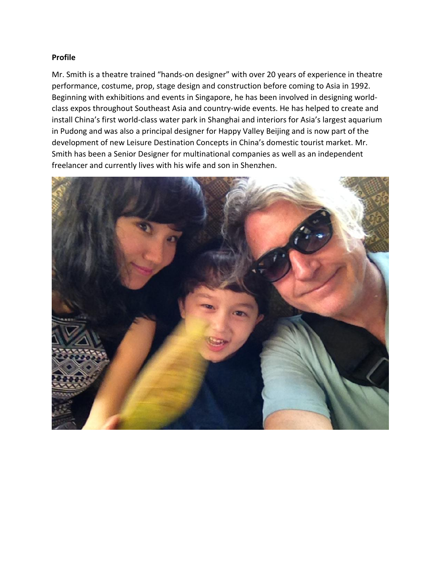## **Profile**

Mr. Smith is a theatre trained "hands-on designer" with over 20 years of experience in theatre performance, costume, prop, stage design and construction before coming to Asia in 1992. Beginning with exhibitions and events in Singapore, he has been involved in designing world class expos throughout Southeast Asia and country-wide events. He has helped to create and install China's first world-class water park in Shanghai and interiors for Asia's largest aquarium in Pudong and was also a principal designer for Happy Valley Beijing and is now part of the development of new Leisure Destination Concepts in China's domestic tourist market. Mr. Smith has been a Senior Designer for multinational companies as well as an independent freelancer and currently lives with his wife and son in Shenzhen.